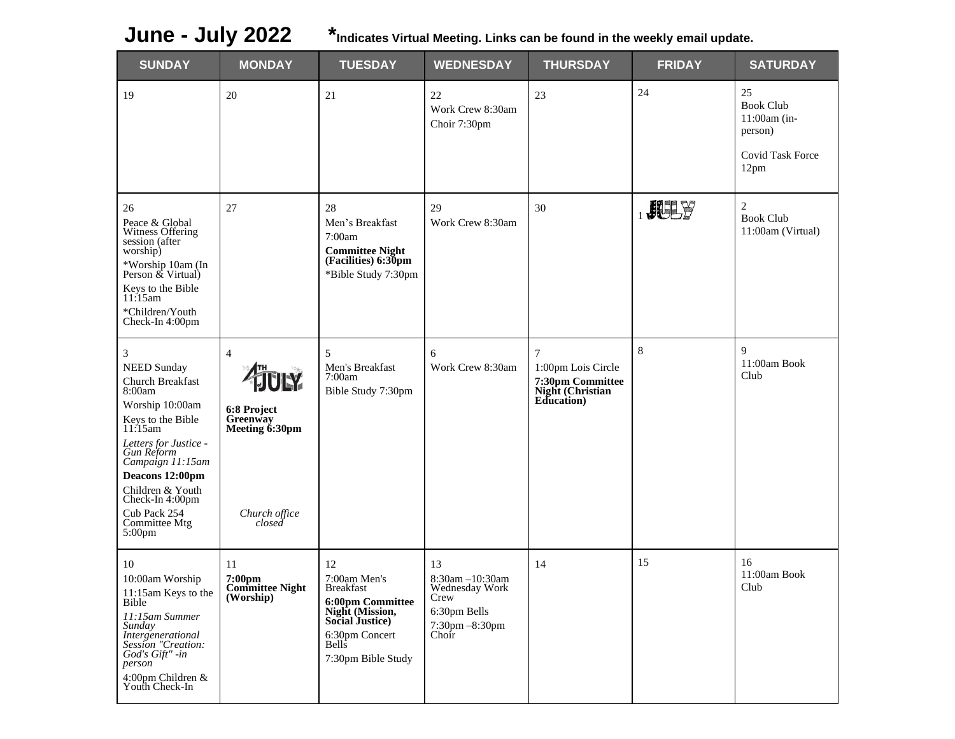**June - July 2022 \*Indicates Virtual Meeting. Links can be found in the weekly email update.**

| <b>SUNDAY</b>                                                                                                                                                                                                                                                                           | <b>MONDAY</b>                                                                          | <b>TUESDAY</b>                                                                                                                                           | <b>WEDNESDAY</b>                                                                           | <b>THURSDAY</b>                                                               | <b>FRIDAY</b> | <b>SATURDAY</b>                                                               |
|-----------------------------------------------------------------------------------------------------------------------------------------------------------------------------------------------------------------------------------------------------------------------------------------|----------------------------------------------------------------------------------------|----------------------------------------------------------------------------------------------------------------------------------------------------------|--------------------------------------------------------------------------------------------|-------------------------------------------------------------------------------|---------------|-------------------------------------------------------------------------------|
| 19                                                                                                                                                                                                                                                                                      | 20                                                                                     | 21                                                                                                                                                       | 22<br>Work Crew 8:30am<br>Choir 7:30pm                                                     | 23                                                                            | 24            | 25<br><b>Book Club</b><br>11:00am (in-<br>person)<br>Covid Task Force<br>12pm |
| 26<br>Peace & Global<br>Witness Offering<br>session (after<br>worship)<br>*Worship 10am (In<br>Person & Virtual)<br>Keys to the Bible<br>11:15am<br>*Children/Youth<br>Check-In 4:00pm                                                                                                  | 27                                                                                     | 28<br>Men's Breakfast<br>7:00am<br><b>Committee Night<br/>(Facilities) 6:30pm</b><br>*Bible Study 7:30pm                                                 | 29<br>Work Crew 8:30am                                                                     | 30                                                                            | $_{1}$ HHY    | $\overline{2}$<br><b>Book Club</b><br>11:00am (Virtual)                       |
| 3<br><b>NEED Sunday</b><br>Church Breakfast<br>8:00am<br>Worship 10:00am<br>Keys to the Bible<br>$11:15$ am<br>Letters for Justice -<br>Gun Reform<br>Campaign 11:15am<br>Deacons 12:00pm<br>Children & Youth<br>Check-In 4:00pm<br>Cub Pack 254<br>Committee Mtg<br>5:00 <sub>pm</sub> | $\overline{4}$<br>6:8 Project<br>Greenway<br>Meeting 6:30pm<br>Church office<br>closed | 5<br>Men's Breakfast<br>7:00am<br>Bible Study 7:30pm                                                                                                     | 6<br>Work Crew 8:30am                                                                      | 7<br>1:00pm Lois Circle<br>7:30pm Committee<br>Night (Christian<br>Education) | 8             | $\mathbf Q$<br>11:00am Book<br>Club                                           |
| 10<br>10:00am Worship<br>11:15am Keys to the<br>Bible<br>11:15am Summer<br>Sunday<br>Intergenerational<br>Session "Creation:<br>God's Gift" -in<br>person<br>4:00pm Children &<br>Youth Check-In                                                                                        | 11<br>7:00pm<br><b>Committee Night</b><br>(Worship)                                    | 12<br>7:00am Men's<br><b>Breakfast</b><br>6:00pm Committee<br>Night (Mission,<br>Social Justice)<br>6:30pm Concert<br><b>Bells</b><br>7:30pm Bible Study | 13<br>8:30am -10:30am<br>Wednesday Work<br>Crew<br>6:30pm Bells<br>7:30pm -8:30pm<br>Choir | 14                                                                            | 15            | 16<br>11:00am Book<br>Club                                                    |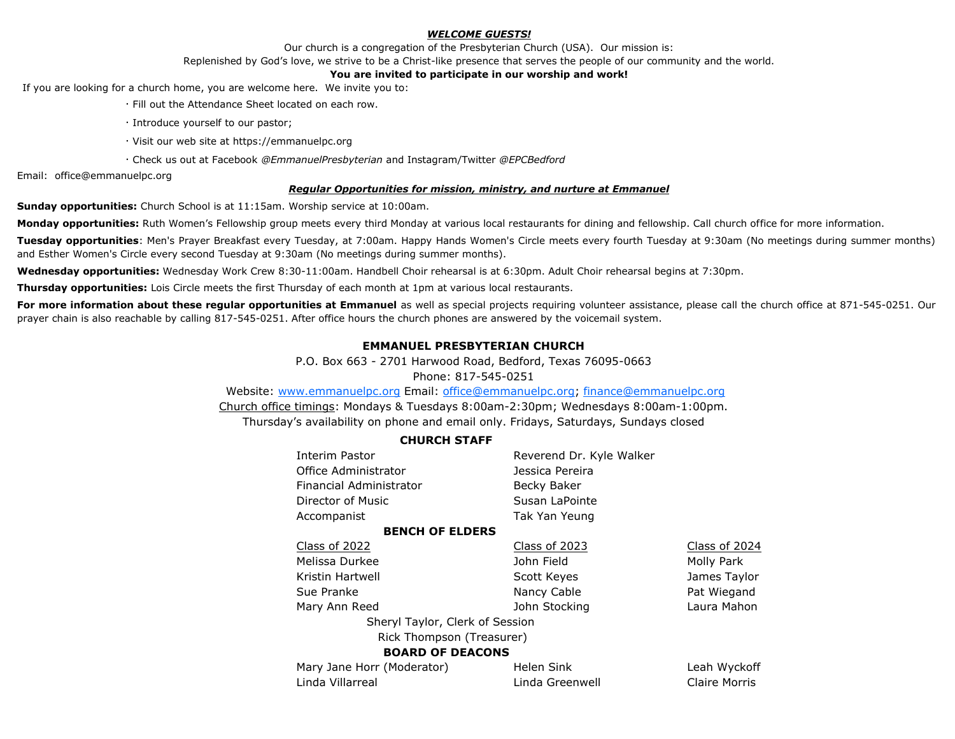#### *WELCOME GUESTS!*

Our church is a congregation of the Presbyterian Church (USA). Our mission is:

Replenished by God's love, we strive to be a Christ-like presence that serves the people of our community and the world.

#### **You are invited to participate in our worship and work!**

If you are looking for a church home, you are welcome here. We invite you to:

- · Fill out the Attendance Sheet located on each row.
- · Introduce yourself to our pastor;
- · Visit our web site at https://emmanuelpc.org
- · Check us out at Facebook *@EmmanuelPresbyterian* and Instagram/Twitter *@EPCBedford*

Email: office@emmanuelpc.org

#### *Regular Opportunities for mission, ministry, and nurture at Emmanuel*

**Sunday opportunities:** Church School is at 11:15am. Worship service at 10:00am.

**Monday opportunities:** Ruth Women's Fellowship group meets every third Monday at various local restaurants for dining and fellowship. Call church office for more information.

**Tuesday opportunities**: Men's Prayer Breakfast every Tuesday, at 7:00am. Happy Hands Women's Circle meets every fourth Tuesday at 9:30am (No meetings during summer months) and Esther Women's Circle every second Tuesday at 9:30am (No meetings during summer months).

**Wednesday opportunities:** Wednesday Work Crew 8:30-11:00am. Handbell Choir rehearsal is at 6:30pm. Adult Choir rehearsal begins at 7:30pm.

**Thursday opportunities:** Lois Circle meets the first Thursday of each month at 1pm at various local restaurants.

For more information about these regular opportunities at Emmanuel as well as special projects requiring volunteer assistance, please call the church office at 871-545-0251. Our prayer chain is also reachable by calling 817-545-0251. After office hours the church phones are answered by the voicemail system.

## **EMMANUEL PRESBYTERIAN CHURCH**

P.O. Box 663 - 2701 Harwood Road, Bedford, Texas 76095-0663

Phone: 817-545-0251

Website: [www.emmanuelpc.org](http://www.emmanuelpc.org/) Email: [office@emmanuelpc.org;](mailto:office@emmanuelpc.org) finance@emmanuelpc.org Church office timings: Mondays & Tuesdays 8:00am-2:30pm; Wednesdays 8:00am-1:00pm. Thursday's availability on phone and email only. Fridays, Saturdays, Sundays closed

### **CHURCH STAFF**

| Reverend Dr. Kyle Walker        |               |  |  |  |  |
|---------------------------------|---------------|--|--|--|--|
| Jessica Pereira                 |               |  |  |  |  |
| Becky Baker                     |               |  |  |  |  |
| Susan LaPointe                  |               |  |  |  |  |
| Tak Yan Yeung                   |               |  |  |  |  |
|                                 |               |  |  |  |  |
| Class of 2023                   | Class of 2024 |  |  |  |  |
| John Field                      | Molly Park    |  |  |  |  |
| Scott Keyes                     | James Taylor  |  |  |  |  |
| Nancy Cable                     | Pat Wiegand   |  |  |  |  |
| John Stocking                   | Laura Mahon   |  |  |  |  |
| Sheryl Taylor, Clerk of Session |               |  |  |  |  |
| Rick Thompson (Treasurer)       |               |  |  |  |  |
| <b>BOARD OF DEACONS</b>         |               |  |  |  |  |
| Helen Sink                      | Leah Wyckoff  |  |  |  |  |
| Linda Greenwell                 | Claire Morris |  |  |  |  |
|                                 |               |  |  |  |  |